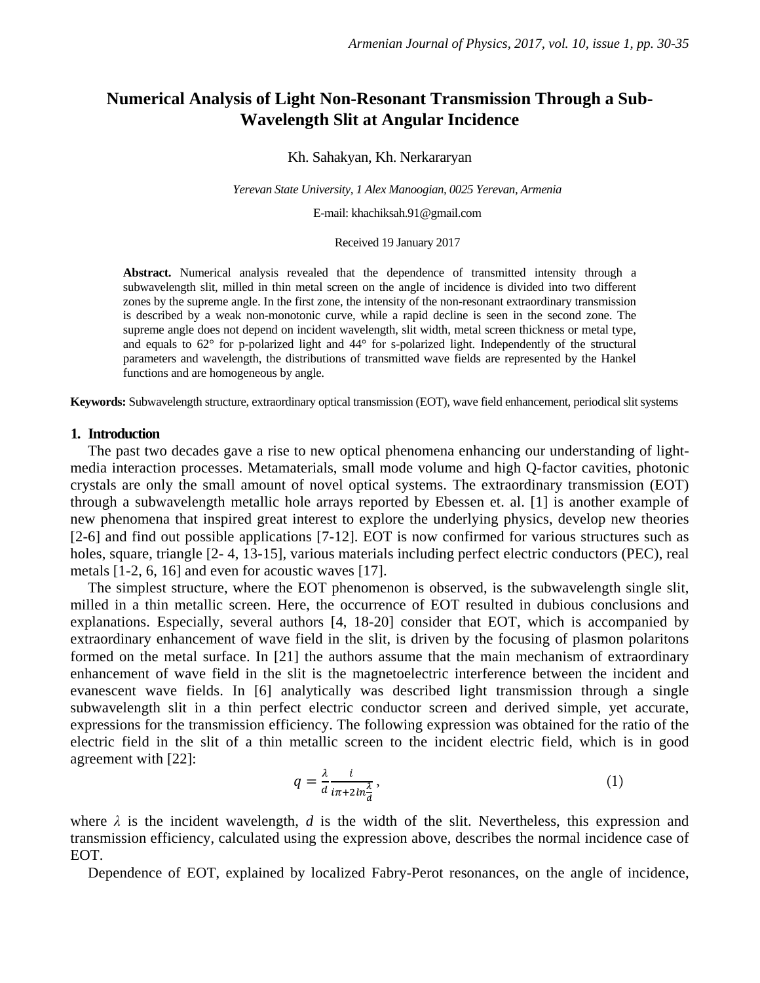# **Numerical Analysis of Light Non-Resonant Transmission Through a Sub-Wavelength Slit at Angular Incidence**

Kh. Sahakyan, Kh. Nerkararyan

*Yerevan State University, 1 Alex Manoogian, 0025 Yerevan, Armenia* 

E-mail: khachiksah.91@gmail.com

Received 19 January 2017

**Abstract.** Numerical analysis revealed that the dependence of transmitted intensity through a subwavelength slit, milled in thin metal screen on the angle of incidence is divided into two different zones by the supreme angle. In the first zone, the intensity of the non-resonant extraordinary transmission is described by a weak non-monotonic curve, while a rapid decline is seen in the second zone. The supreme angle does not depend on incident wavelength, slit width, metal screen thickness or metal type, and equals to 62° for p-polarized light and 44° for s-polarized light. Independently of the structural parameters and wavelength, the distributions of transmitted wave fields are represented by the Hankel functions and are homogeneous by angle.

**Keywords:** Subwavelength structure, extraordinary optical transmission (EOT), wave field enhancement, periodical slit systems

#### **1. Introduction**

The past two decades gave a rise to new optical phenomena enhancing our understanding of lightmedia interaction processes. Metamaterials, small mode volume and high Q-factor cavities, photonic crystals are only the small amount of novel optical systems. The extraordinary transmission (EOT) through a subwavelength metallic hole arrays reported by Ebessen et. al. [1] is another example of new phenomena that inspired great interest to explore the underlying physics, develop new theories [2-6] and find out possible applications [7-12]. EOT is now confirmed for various structures such as holes, square, triangle [2-4, 13-15], various materials including perfect electric conductors (PEC), real metals [1-2, 6, 16] and even for acoustic waves [17].

The simplest structure, where the EOT phenomenon is observed, is the subwavelength single slit, milled in a thin metallic screen. Here, the occurrence of EOT resulted in dubious conclusions and explanations. Especially, several authors [4, 18-20] consider that EOT, which is accompanied by extraordinary enhancement of wave field in the slit, is driven by the focusing of plasmon polaritons formed on the metal surface. In [21] the authors assume that the main mechanism of extraordinary enhancement of wave field in the slit is the magnetoelectric interference between the incident and evanescent wave fields. In [6] analytically was described light transmission through a single subwavelength slit in a thin perfect electric conductor screen and derived simple, yet accurate, expressions for the transmission efficiency. The following expression was obtained for the ratio of the electric field in the slit of a thin metallic screen to the incident electric field, which is in good agreement with [22]:

$$
q = \frac{\lambda}{d} \frac{i}{i\pi + 2in\frac{\lambda}{d}},\tag{1}
$$

where  $\lambda$  is the incident wavelength,  $d$  is the width of the slit. Nevertheless, this expression and transmission efficiency, calculated using the expression above, describes the normal incidence case of EOT.

Dependence of EOT, explained by localized Fabry-Perot resonances, on the angle of incidence,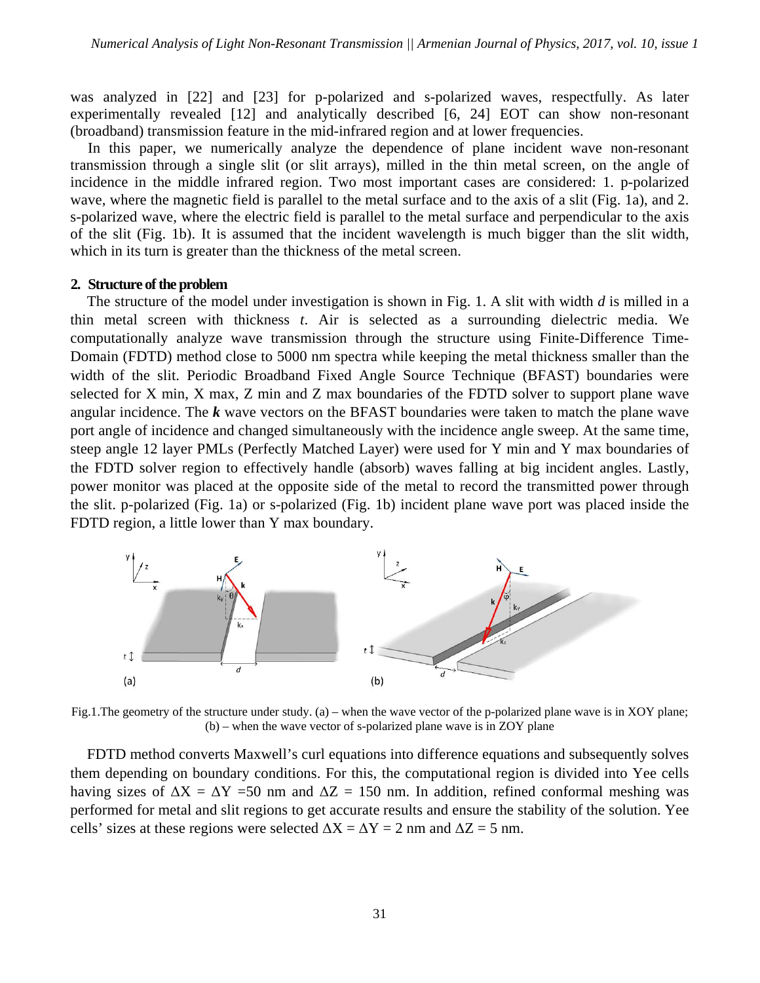was analyzed in [22] and [23] for p-polarized and s-polarized waves, respectfully. As later experimentally revealed [12] and analytically described [6, 24] EOT can show non-resonant (broadband) transmission feature in the mid-infrared region and at lower frequencies.

In this paper, we numerically analyze the dependence of plane incident wave non-resonant transmission through a single slit (or slit arrays), milled in the thin metal screen, on the angle of incidence in the middle infrared region. Two most important cases are considered: 1. p-polarized wave, where the magnetic field is parallel to the metal surface and to the axis of a slit (Fig. 1a), and 2. s-polarized wave, where the electric field is parallel to the metal surface and perpendicular to the axis of the slit (Fig. 1b). It is assumed that the incident wavelength is much bigger than the slit width, which in its turn is greater than the thickness of the metal screen.

### **2. Structure of the problem**

The structure of the model under investigation is shown in Fig. 1. A slit with width *d* is milled in a thin metal screen with thickness *t*. Air is selected as a surrounding dielectric media. We computationally analyze wave transmission through the structure using Finite-Difference Time-Domain (FDTD) method close to 5000 nm spectra while keeping the metal thickness smaller than the width of the slit. Periodic Broadband Fixed Angle Source Technique (BFAST) boundaries were selected for X min, X max, Z min and Z max boundaries of the FDTD solver to support plane wave angular incidence. The *k* wave vectors on the BFAST boundaries were taken to match the plane wave port angle of incidence and changed simultaneously with the incidence angle sweep. At the same time, steep angle 12 layer PMLs (Perfectly Matched Layer) were used for Y min and Y max boundaries of the FDTD solver region to effectively handle (absorb) waves falling at big incident angles. Lastly, power monitor was placed at the opposite side of the metal to record the transmitted power through the slit. p-polarized (Fig. 1a) or s-polarized (Fig. 1b) incident plane wave port was placed inside the FDTD region, a little lower than Y max boundary.



Fig.1. The geometry of the structure under study. (a) – when the wave vector of the p-polarized plane wave is in XOY plane; (b) – when the wave vector of s-polarized plane wave is in ZOY plane

FDTD method converts Maxwell's curl equations into difference equations and subsequently solves them depending on boundary conditions. For this, the computational region is divided into Yee cells having sizes of  $\Delta X = \Delta Y = 50$  nm and  $\Delta Z = 150$  nm. In addition, refined conformal meshing was performed for metal and slit regions to get accurate results and ensure the stability of the solution. Yee cells' sizes at these regions were selected  $\Delta X = \Delta Y = 2$  nm and  $\Delta Z = 5$  nm.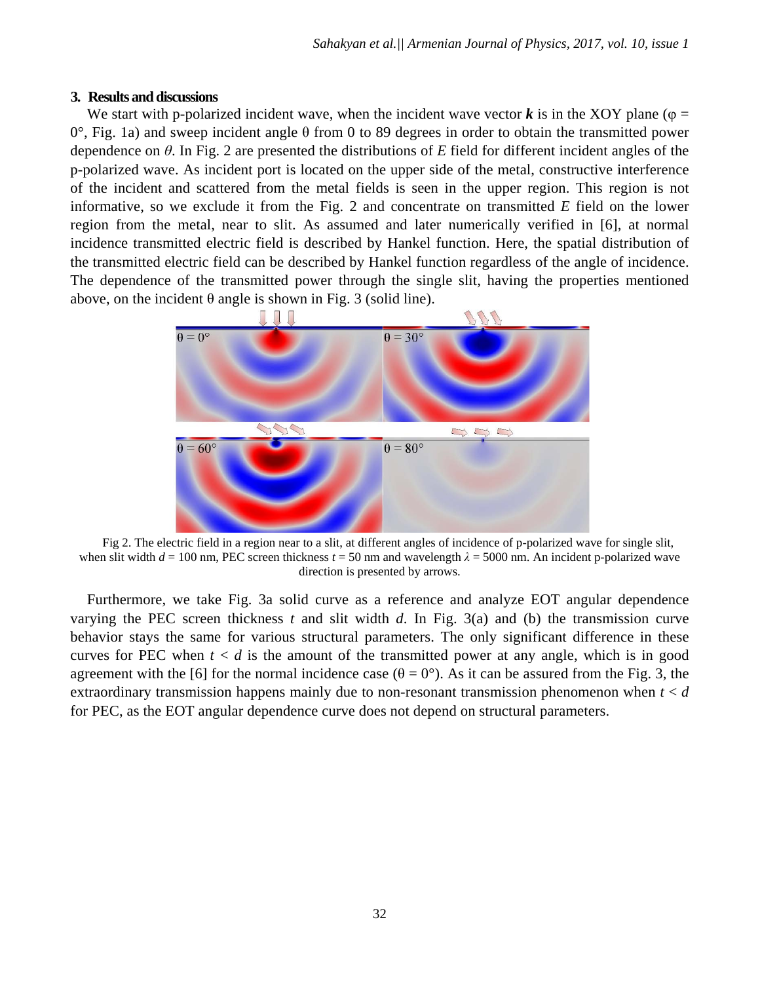#### **3. Results and discussions**

We start with p-polarized incident wave, when the incident wave vector  $\boldsymbol{k}$  is in the XOY plane ( $\varphi$  =  $0^\circ$ , Fig. 1a) and sweep incident angle θ from 0 to 89 degrees in order to obtain the transmitted power dependence on *θ*. In Fig. 2 are presented the distributions of *E* field for different incident angles of the p-polarized wave. As incident port is located on the upper side of the metal, constructive interference of the incident and scattered from the metal fields is seen in the upper region. This region is not informative, so we exclude it from the Fig. 2 and concentrate on transmitted *E* field on the lower region from the metal, near to slit. As assumed and later numerically verified in [6], at normal incidence transmitted electric field is described by Hankel function. Here, the spatial distribution of the transmitted electric field can be described by Hankel function regardless of the angle of incidence. The dependence of the transmitted power through the single slit, having the properties mentioned above, on the incident  $\theta$  angle is shown in Fig. 3 (solid line).



Fig 2. The electric field in a region near to a slit, at different angles of incidence of p-polarized wave for single slit, when slit width  $d = 100$  nm, PEC screen thickness  $t = 50$  nm and wavelength  $\lambda = 5000$  nm. An incident p-polarized wave direction is presented by arrows.

Furthermore, we take Fig. 3a solid curve as a reference and analyze EOT angular dependence varying the PEC screen thickness  $t$  and slit width  $d$ . In Fig. 3(a) and (b) the transmission curve behavior stays the same for various structural parameters. The only significant difference in these curves for PEC when  $t < d$  is the amount of the transmitted power at any angle, which is in good agreement with the [6] for the normal incidence case ( $\theta = 0^{\circ}$ ). As it can be assured from the Fig. 3, the extraordinary transmission happens mainly due to non-resonant transmission phenomenon when *t* < *d* for PEC, as the EOT angular dependence curve does not depend on structural parameters.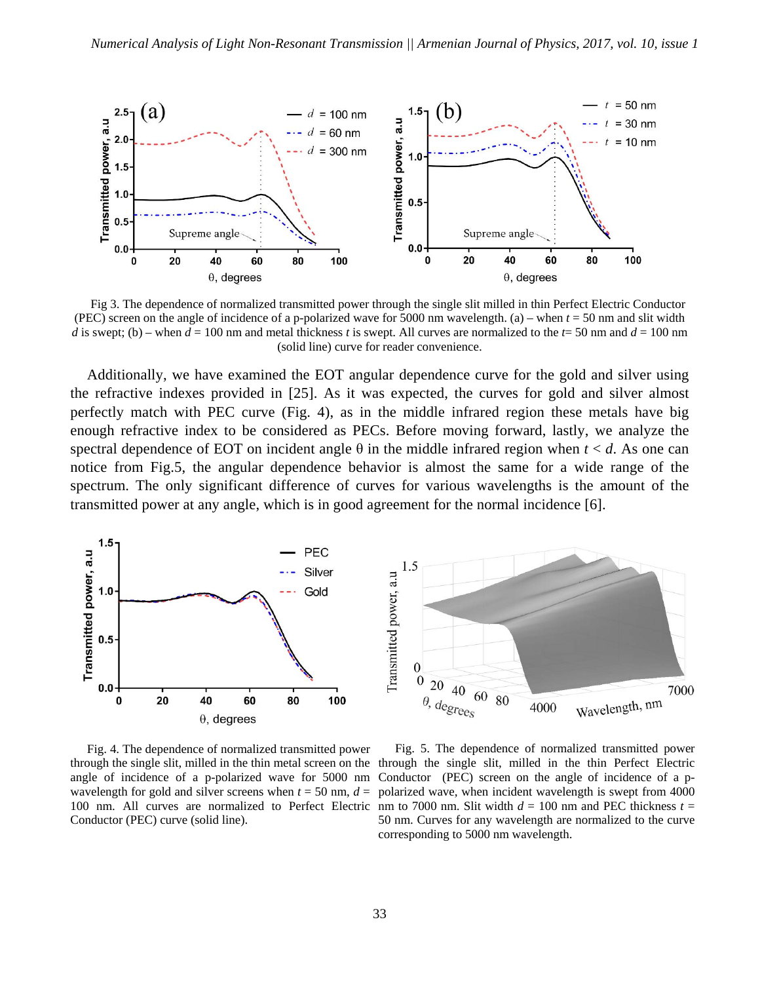

Fig 3. The dependence of normalized transmitted power through the single slit milled in thin Perfect Electric Conductor (PEC) screen on the angle of incidence of a p-polarized wave for 5000 nm wavelength. (a) – when *t* = 50 nm and slit width *d* is swept; (b) – when  $d = 100$  nm and metal thickness *t* is swept. All curves are normalized to the  $t=50$  nm and  $d = 100$  nm (solid line) curve for reader convenience.

Additionally, we have examined the EOT angular dependence curve for the gold and silver using the refractive indexes provided in [25]. As it was expected, the curves for gold and silver almost perfectly match with PEC curve (Fig. 4), as in the middle infrared region these metals have big enough refractive index to be considered as PECs. Before moving forward, lastly, we analyze the spectral dependence of EOT on incident angle  $\theta$  in the middle infrared region when  $t < d$ . As one can notice from Fig.5, the angular dependence behavior is almost the same for a wide range of the spectrum. The only significant difference of curves for various wavelengths is the amount of the transmitted power at any angle, which is in good agreement for the normal incidence [6].



Fig. 4. The dependence of normalized transmitted power wavelength for gold and silver screens when  $t = 50$  nm,  $d =$ Conductor (PEC) curve (solid line).

through the single slit, milled in the thin metal screen on the through the single slit, milled in the thin Perfect Electric angle of incidence of a p-polarized wave for 5000 nm Conductor (PEC) screen on the angle of incidence of a p-100 nm. All curves are normalized to Perfect Electric nm to 7000 nm. Slit width  $d = 100$  nm and PEC thickness  $t =$ Fig. 5. The dependence of normalized transmitted power polarized wave, when incident wavelength is swept from 4000 50 nm. Curves for any wavelength are normalized to the curve corresponding to 5000 nm wavelength.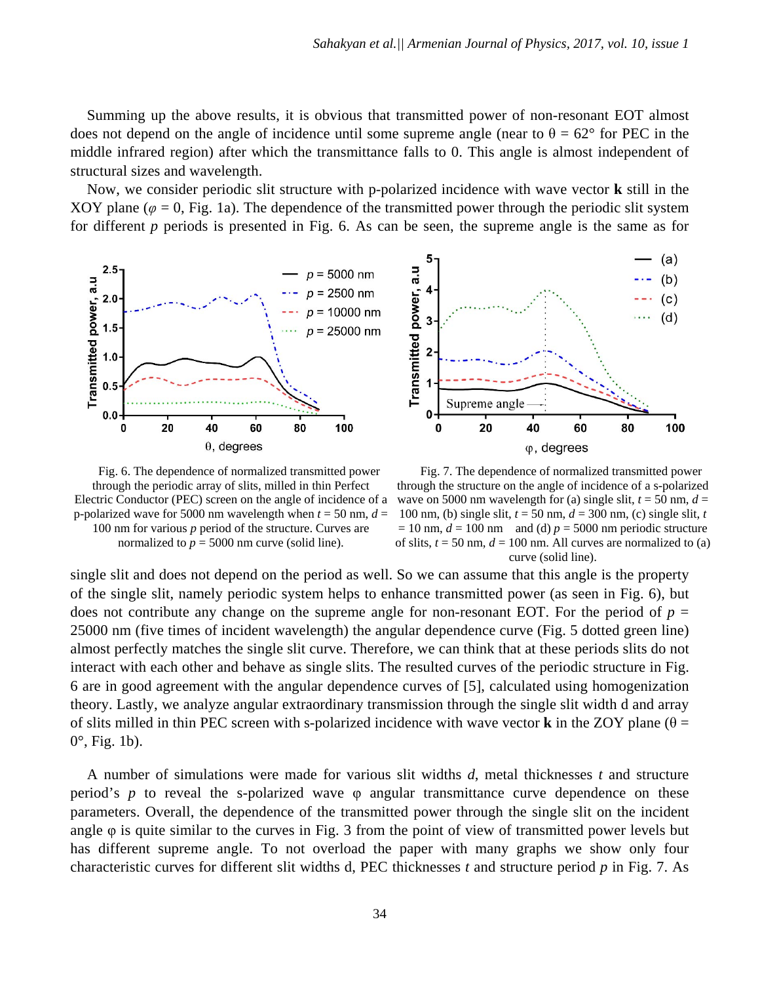Summing up the above results, it is obvious that transmitted power of non-resonant EOT almost does not depend on the angle of incidence until some supreme angle (near to  $\theta = 62^{\circ}$  for PEC in the middle infrared region) after which the transmittance falls to 0. This angle is almost independent of structural sizes and wavelength.

Now, we consider periodic slit structure with p-polarized incidence with wave vector **k** still in the XOY plane ( $\varphi$  = 0, Fig. 1a). The dependence of the transmitted power through the periodic slit system for different *p* periods is presented in Fig. 6. As can be seen, the supreme angle is the same as for





Fig. 6. The dependence of normalized transmitted power through the periodic array of slits, milled in thin Perfect Electric Conductor (PEC) screen on the angle of incidence of a p-polarized wave for 5000 nm wavelength when  $t = 50$  nm,  $d =$ 100 nm for various *p* period of the structure. Curves are normalized to  $p = 5000$  nm curve (solid line).

Fig. 7. The dependence of normalized transmitted power through the structure on the angle of incidence of a s-polarized wave on 5000 nm wavelength for (a) single slit,  $t = 50$  nm,  $d =$ 100 nm, (b) single slit, *t* = 50 nm, *d* = 300 nm, (c) single slit, *t*  $= 10$  nm,  $d = 100$  nm and (d)  $p = 5000$  nm periodic structure of slits,  $t = 50$  nm,  $d = 100$  nm. All curves are normalized to (a) curve (solid line).

single slit and does not depend on the period as well. So we can assume that this angle is the property of the single slit, namely periodic system helps to enhance transmitted power (as seen in Fig. 6), but does not contribute any change on the supreme angle for non-resonant EOT. For the period of  $p =$ 25000 nm (five times of incident wavelength) the angular dependence curve (Fig. 5 dotted green line) almost perfectly matches the single slit curve. Therefore, we can think that at these periods slits do not interact with each other and behave as single slits. The resulted curves of the periodic structure in Fig. 6 are in good agreement with the angular dependence curves of [5], calculated using homogenization theory. Lastly, we analyze angular extraordinary transmission through the single slit width d and array of slits milled in thin PEC screen with s-polarized incidence with wave vector **k** in the ZOY plane ( $\theta$  = 0°, Fig. 1b).

A number of simulations were made for various slit widths *d*, metal thicknesses *t* and structure period's *p* to reveal the s-polarized wave φ angular transmittance curve dependence on these parameters. Overall, the dependence of the transmitted power through the single slit on the incident angle φ is quite similar to the curves in Fig. 3 from the point of view of transmitted power levels but has different supreme angle. To not overload the paper with many graphs we show only four characteristic curves for different slit widths d, PEC thicknesses *t* and structure period *p* in Fig. 7. As